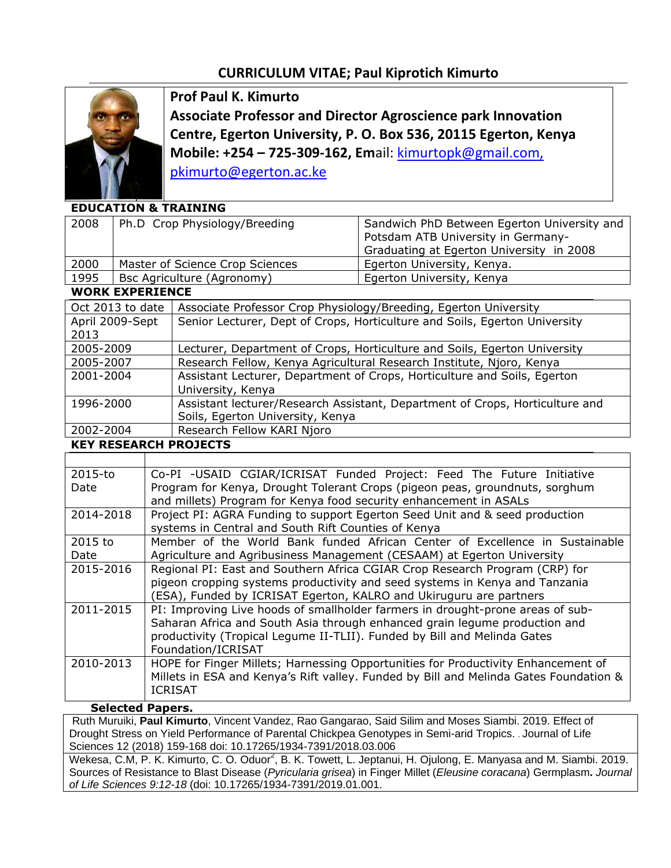## **CURRICULUM VITAE; Paul Kiprotich Kimurto**



**Prof Paul K. Kimurto Associate Professor and Director Agroscience park Innovation Centre, Egerton University, P. O. Box 536, 20115 Egerton, Kenya Mobile: +254 – 725-309-162, Em**ail: [kimurtopk@gmail.com,](mailto:kimurtopk@gmail.com,%20pkimurto@egerton.ac.ke)  [pkimurto@egerton.ac.ke](mailto:kimurtopk@gmail.com,%20pkimurto@egerton.ac.ke)

## **EDUCATION & TRAINING**

| 2008                   | Ph.D Crop Physiology/Breeding   |                                                                              | Sandwich PhD Between Egerton University and<br>Potsdam ATB University in Germany-<br>Graduating at Egerton University in 2008 |  |  |
|------------------------|---------------------------------|------------------------------------------------------------------------------|-------------------------------------------------------------------------------------------------------------------------------|--|--|
| 2000                   | Master of Science Crop Sciences |                                                                              | Egerton University, Kenya.                                                                                                    |  |  |
| 1995                   | Bsc Agriculture (Agronomy)      |                                                                              | Egerton University, Kenya                                                                                                     |  |  |
| <b>WORK EXPERIENCE</b> |                                 |                                                                              |                                                                                                                               |  |  |
| Oct 2013 to date       |                                 | Associate Professor Crop Physiology/Breeding, Egerton University             |                                                                                                                               |  |  |
| April 2009-Sept        |                                 | Senior Lecturer, Dept of Crops, Horticulture and Soils, Egerton University   |                                                                                                                               |  |  |
| 2013                   |                                 |                                                                              |                                                                                                                               |  |  |
| 2005-2009              |                                 | Lecturer, Department of Crops, Horticulture and Soils, Egerton University    |                                                                                                                               |  |  |
| 2005-2007              |                                 | Research Fellow, Kenya Agricultural Research Institute, Njoro, Kenya         |                                                                                                                               |  |  |
| 2001-2004              |                                 | Assistant Lecturer, Department of Crops, Horticulture and Soils, Egerton     |                                                                                                                               |  |  |
|                        |                                 | University, Kenya                                                            |                                                                                                                               |  |  |
| 1996-2000              |                                 | Assistant lecturer/Research Assistant, Department of Crops, Horticulture and |                                                                                                                               |  |  |
|                        |                                 | Soils, Egerton University, Kenya                                             |                                                                                                                               |  |  |
| 2002-2004              |                                 | Research Fellow KARI Njoro                                                   |                                                                                                                               |  |  |

**KEY RESEARCH PROJECTS**

| 2015-to   | Co-PI -USAID CGIAR/ICRISAT Funded Project: Feed The Future Initiative                 |
|-----------|---------------------------------------------------------------------------------------|
| Date      | Program for Kenya, Drought Tolerant Crops (pigeon peas, groundnuts, sorghum           |
|           | and millets) Program for Kenya food security enhancement in ASALs                     |
| 2014-2018 | Project PI: AGRA Funding to support Egerton Seed Unit and & seed production           |
|           | systems in Central and South Rift Counties of Kenya                                   |
| 2015 to   | Member of the World Bank funded African Center of Excellence in Sustainable           |
| Date      | Agriculture and Agribusiness Management (CESAAM) at Egerton University                |
| 2015-2016 | Regional PI: East and Southern Africa CGIAR Crop Research Program (CRP) for           |
|           | pigeon cropping systems productivity and seed systems in Kenya and Tanzania           |
|           | (ESA), Funded by ICRISAT Egerton, KALRO and Ukiruguru are partners                    |
| 2011-2015 | PI: Improving Live hoods of smallholder farmers in drought-prone areas of sub-        |
|           | Saharan Africa and South Asia through enhanced grain legume production and            |
|           | productivity (Tropical Legume II-TLII). Funded by Bill and Melinda Gates              |
|           | Foundation/ICRISAT                                                                    |
| 2010-2013 | HOPE for Finger Millets; Harnessing Opportunities for Productivity Enhancement of     |
|           | Millets in ESA and Kenya's Rift valley. Funded by Bill and Melinda Gates Foundation & |
|           | <b>ICRISAT</b>                                                                        |
|           |                                                                                       |

## **Selected Papers.**

Ruth Muruiki, **Paul Kimurto**, Vincent Vandez, Rao Gangarao, Said Silim and Moses Siambi. 2019. Effect of Drought Stress on Yield Performance of Parental Chickpea Genotypes in Semi-arid Tropics. . Journal of Life Sciences 12 (2018) 159-168 doi: 10.17265/1934-7391/2018.03.006

Wekesa, C.M, P. K. Kimurto, C. O. Oduor<sup>2</sup>, B. K. Towett, L. Jeptanui, H. Ojulong, E. Manyasa and M. Siambi. 2019. Sources of Resistance to Blast Disease (*Pyricularia grisea*) in Finger Millet (*Eleusine coracana*) Germplasm**.** *Journal of Life Sciences 9:12-18* (doi: 10.17265/1934-7391/2019.01.001.